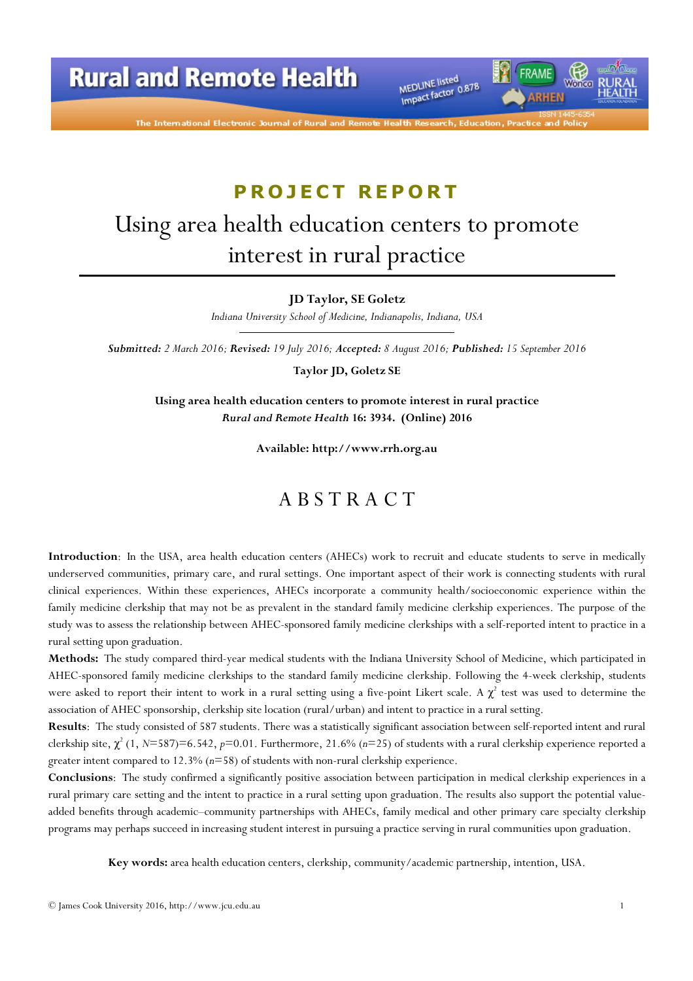

The International Electronic Journal of Rural and

# PROJECT REPORT

# Using area health education centers to promote interest in rural practice

JD Taylor, SE Goletz

Indiana University School of Medicine, Indianapolis, Indiana, USA

Submitted: 2 March 2016; Revised: 19 July 2016; Accepted: 8 August 2016; Published: 15 September 2016

Taylor JD, Goletz SE

Using area health education centers to promote interest in rural practice Rural and Remote Health 16: 3934. (Online) 2016

Available: http://www.rrh.org.au

### A B S T R A C T

Introduction: In the USA, area health education centers (AHECs) work to recruit and educate students to serve in medically underserved communities, primary care, and rural settings. One important aspect of their work is connecting students with rural clinical experiences. Within these experiences, AHECs incorporate a community health/socioeconomic experience within the family medicine clerkship that may not be as prevalent in the standard family medicine clerkship experiences. The purpose of the study was to assess the relationship between AHEC-sponsored family medicine clerkships with a self-reported intent to practice in a rural setting upon graduation.

Methods: The study compared third-year medical students with the Indiana University School of Medicine, which participated in AHEC-sponsored family medicine clerkships to the standard family medicine clerkship. Following the 4-week clerkship, students were asked to report their intent to work in a rural setting using a five-point Likert scale. A  $\chi^2$  test was used to determine the association of AHEC sponsorship, clerkship site location (rural/urban) and intent to practice in a rural setting.

Results: The study consisted of 587 students. There was a statistically significant association between self-reported intent and rural clerkship site,  $\chi^2$  (1, N=587)=6.542, p=0.01. Furthermore, 21.6% (n=25) of students with a rural clerkship experience reported a greater intent compared to  $12.3\%$  ( $n=58$ ) of students with non-rural clerkship experience.

Conclusions: The study confirmed a significantly positive association between participation in medical clerkship experiences in a rural primary care setting and the intent to practice in a rural setting upon graduation. The results also support the potential valueadded benefits through academic–community partnerships with AHECs, family medical and other primary care specialty clerkship programs may perhaps succeed in increasing student interest in pursuing a practice serving in rural communities upon graduation.

Key words: area health education centers, clerkship, community/academic partnership, intention, USA.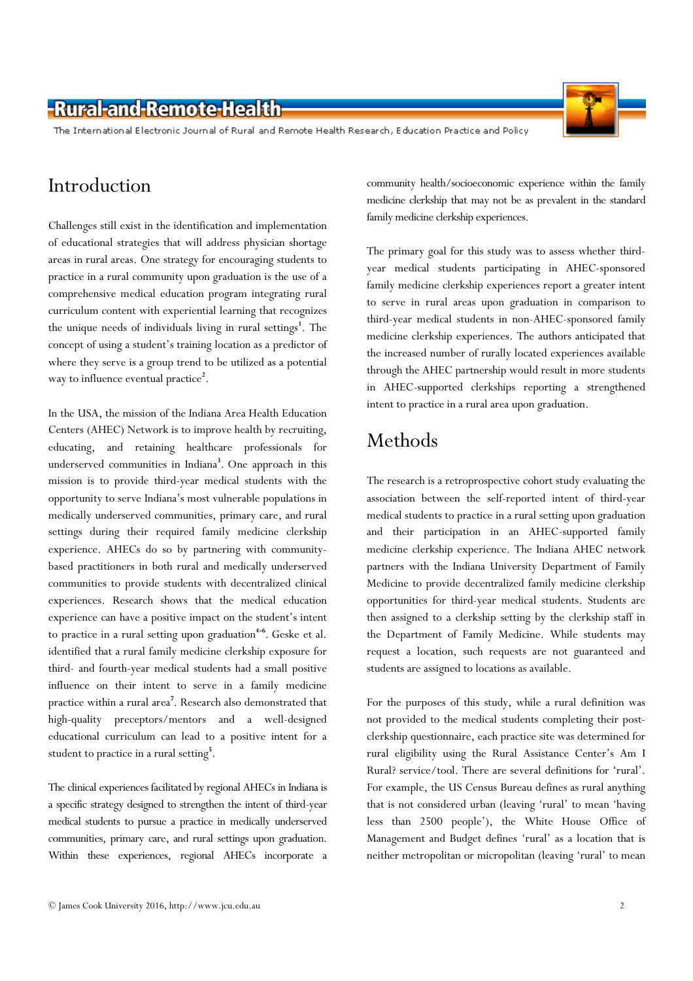The International Electronic Journal of Rural and Remote Health Research, Education Practice and Policy

# Introduction

Challenges still exist in the identification and implementation of educational strategies that will address physician shortage areas in rural areas. One strategy for encouraging students to practice in a rural community upon graduation is the use of a comprehensive medical education program integrating rural curriculum content with experiential learning that recognizes the unique needs of individuals living in rural settings<sup>1</sup>. The concept of using a student's training location as a predictor of where they serve is a group trend to be utilized as a potential way to influence eventual practice<sup>2</sup>.

In the USA, the mission of the Indiana Area Health Education Centers (AHEC) Network is to improve health by recruiting, educating, and retaining healthcare professionals for underserved communities in Indiana<sup>3</sup>. One approach in this mission is to provide third-year medical students with the opportunity to serve Indiana's most vulnerable populations in medically underserved communities, primary care, and rural settings during their required family medicine clerkship experience. AHECs do so by partnering with communitybased practitioners in both rural and medically underserved communities to provide students with decentralized clinical experiences. Research shows that the medical education experience can have a positive impact on the student's intent to practice in a rural setting upon graduation<sup>4-6</sup>. Geske et al. identified that a rural family medicine clerkship exposure for third- and fourth-year medical students had a small positive influence on their intent to serve in a family medicine practice within a rural area<sup>7</sup>. Research also demonstrated that high-quality preceptors/mentors and a well-designed educational curriculum can lead to a positive intent for a student to practice in a rural setting<sup>5</sup>.

The clinical experiences facilitated by regional AHECs in Indiana is a specific strategy designed to strengthen the intent of third-year medical students to pursue a practice in medically underserved communities, primary care, and rural settings upon graduation. Within these experiences, regional AHECs incorporate a

community health/socioeconomic experience within the family medicine clerkship that may not be as prevalent in the standard family medicine clerkship experiences.

The primary goal for this study was to assess whether thirdyear medical students participating in AHEC-sponsored family medicine clerkship experiences report a greater intent to serve in rural areas upon graduation in comparison to third-year medical students in non-AHEC-sponsored family medicine clerkship experiences. The authors anticipated that the increased number of rurally located experiences available through the AHEC partnership would result in more students in AHEC-supported clerkships reporting a strengthened intent to practice in a rural area upon graduation.

# Methods

The research is a retroprospective cohort study evaluating the association between the self-reported intent of third-year medical students to practice in a rural setting upon graduation and their participation in an AHEC-supported family medicine clerkship experience. The Indiana AHEC network partners with the Indiana University Department of Family Medicine to provide decentralized family medicine clerkship opportunities for third-year medical students. Students are then assigned to a clerkship setting by the clerkship staff in the Department of Family Medicine. While students may request a location, such requests are not guaranteed and students are assigned to locations as available.

For the purposes of this study, while a rural definition was not provided to the medical students completing their postclerkship questionnaire, each practice site was determined for rural eligibility using the Rural Assistance Center's Am I Rural? service/tool. There are several definitions for 'rural'. For example, the US Census Bureau defines as rural anything that is not considered urban (leaving 'rural' to mean 'having less than 2500 people'), the White House Office of Management and Budget defines 'rural' as a location that is neither metropolitan or micropolitan (leaving 'rural' to mean

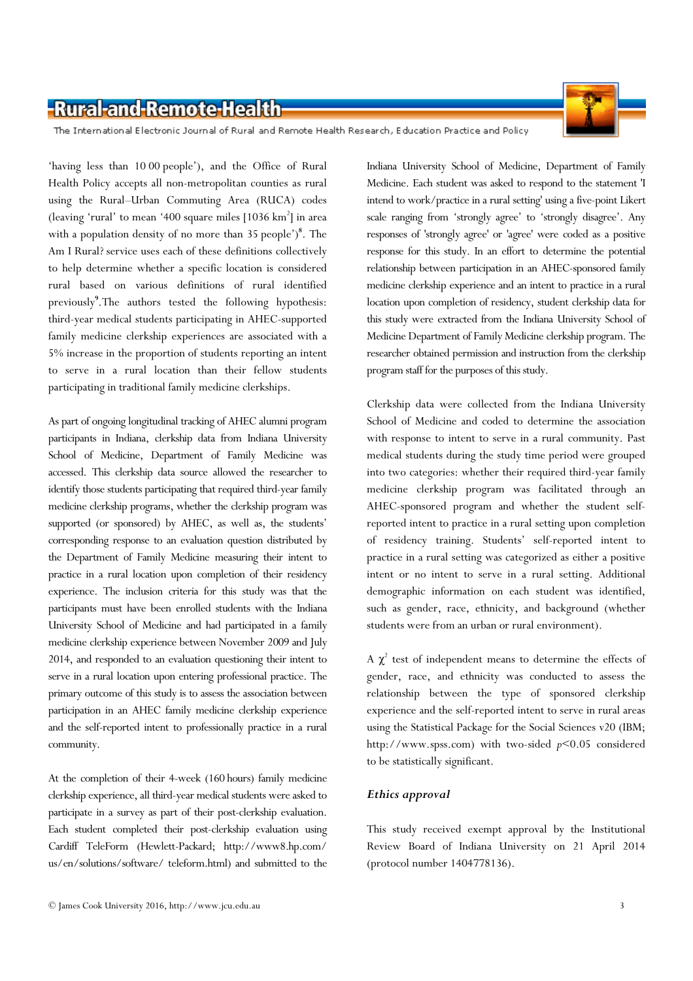

The International Electronic Journal of Rural and Remote Health Research, Education Practice and Policy

'having less than 10 00 people'), and the Office of Rural Health Policy accepts all non-metropolitan counties as rural using the Rural–Urban Commuting Area (RUCA) codes (leaving 'rural' to mean '400 square miles [1036 km<sup>2</sup>] in area with a population density of no more than 35 people')<sup>8</sup>. The Am I Rural? service uses each of these definitions collectively to help determine whether a specific location is considered rural based on various definitions of rural identified previously<sup>9</sup>. The authors tested the following hypothesis: third-year medical students participating in AHEC-supported family medicine clerkship experiences are associated with a 5% increase in the proportion of students reporting an intent to serve in a rural location than their fellow students participating in traditional family medicine clerkships.

As part of ongoing longitudinal tracking of AHEC alumni program participants in Indiana, clerkship data from Indiana University School of Medicine, Department of Family Medicine was accessed. This clerkship data source allowed the researcher to identify those students participating that required third-year family medicine clerkship programs, whether the clerkship program was supported (or sponsored) by AHEC, as well as, the students' corresponding response to an evaluation question distributed by the Department of Family Medicine measuring their intent to practice in a rural location upon completion of their residency experience. The inclusion criteria for this study was that the participants must have been enrolled students with the Indiana University School of Medicine and had participated in a family medicine clerkship experience between November 2009 and July 2014, and responded to an evaluation questioning their intent to serve in a rural location upon entering professional practice. The primary outcome of this study is to assess the association between participation in an AHEC family medicine clerkship experience and the self-reported intent to professionally practice in a rural community.

At the completion of their 4-week (160 hours) family medicine clerkship experience, all third-year medical students were asked to participate in a survey as part of their post-clerkship evaluation. Each student completed their post-clerkship evaluation using Cardiff TeleForm (Hewlett-Packard; http://www8.hp.com/ us/en/solutions/software/ teleform.html) and submitted to the

Indiana University School of Medicine, Department of Family Medicine. Each student was asked to respond to the statement 'I intend to work/practice in a rural setting' using a five-point Likert scale ranging from 'strongly agree' to 'strongly disagree'. Any responses of 'strongly agree' or 'agree' were coded as a positive response for this study. In an effort to determine the potential relationship between participation in an AHEC-sponsored family medicine clerkship experience and an intent to practice in a rural location upon completion of residency, student clerkship data for this study were extracted from the Indiana University School of Medicine Department of Family Medicine clerkship program. The researcher obtained permission and instruction from the clerkship program staff for the purposes of this study.

Clerkship data were collected from the Indiana University School of Medicine and coded to determine the association with response to intent to serve in a rural community. Past medical students during the study time period were grouped into two categories: whether their required third-year family medicine clerkship program was facilitated through an AHEC-sponsored program and whether the student selfreported intent to practice in a rural setting upon completion of residency training. Students' self-reported intent to practice in a rural setting was categorized as either a positive intent or no intent to serve in a rural setting. Additional demographic information on each student was identified, such as gender, race, ethnicity, and background (whether students were from an urban or rural environment).

A  $\chi^2$  test of independent means to determine the effects of gender, race, and ethnicity was conducted to assess the relationship between the type of sponsored clerkship experience and the self-reported intent to serve in rural areas using the Statistical Package for the Social Sciences v20 (IBM; http://www.spss.com) with two-sided p<0.05 considered to be statistically significant.

#### Ethics approval

This study received exempt approval by the Institutional Review Board of Indiana University on 21 April 2014 (protocol number 1404778136).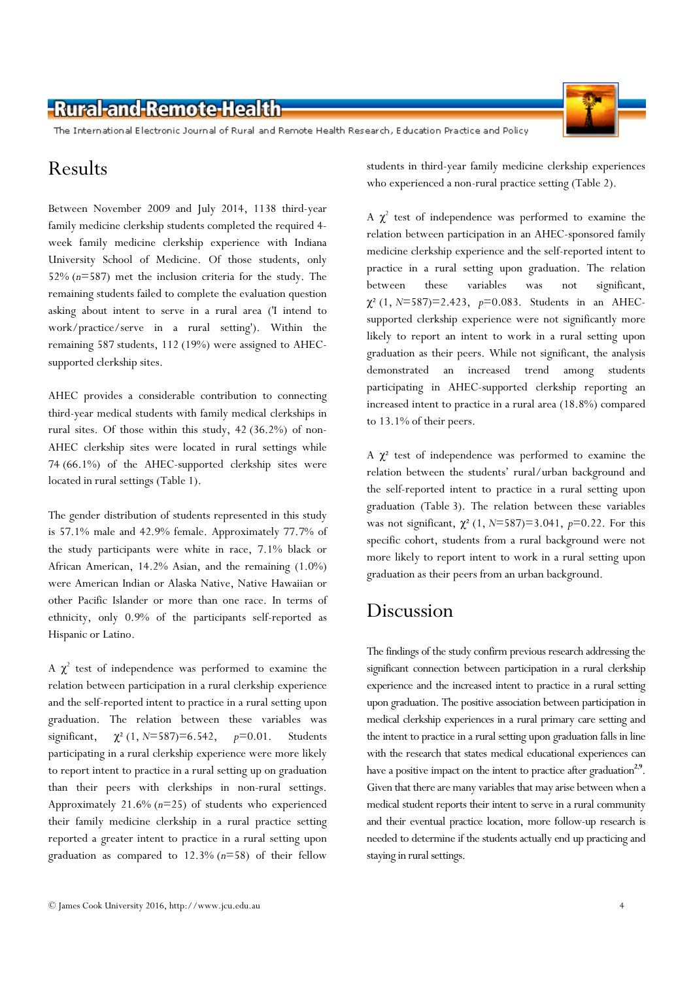The International Electronic Journal of Rural and Remote Health Research, Education Practice and Policy

### Results

Between November 2009 and July 2014, 1138 third-year family medicine clerkship students completed the required 4 week family medicine clerkship experience with Indiana University School of Medicine. Of those students, only 52% (n=587) met the inclusion criteria for the study. The remaining students failed to complete the evaluation question asking about intent to serve in a rural area ('I intend to work/practice/serve in a rural setting'). Within the remaining 587 students, 112 (19%) were assigned to AHECsupported clerkship sites.

AHEC provides a considerable contribution to connecting third-year medical students with family medical clerkships in rural sites. Of those within this study, 42 (36.2%) of non-AHEC clerkship sites were located in rural settings while 74 (66.1%) of the AHEC-supported clerkship sites were located in rural settings (Table 1).

The gender distribution of students represented in this study is 57.1% male and 42.9% female. Approximately 77.7% of the study participants were white in race, 7.1% black or African American, 14.2% Asian, and the remaining (1.0%) were American Indian or Alaska Native, Native Hawaiian or other Pacific Islander or more than one race. In terms of ethnicity, only 0.9% of the participants self-reported as Hispanic or Latino.

A  $\chi^2$  test of independence was performed to examine the relation between participation in a rural clerkship experience and the self-reported intent to practice in a rural setting upon graduation. The relation between these variables was significant,  $\chi^2$  (1, N=587)=6.542, p=0.01. Students participating in a rural clerkship experience were more likely to report intent to practice in a rural setting up on graduation than their peers with clerkships in non-rural settings. Approximately 21.6%  $(n=25)$  of students who experienced their family medicine clerkship in a rural practice setting reported a greater intent to practice in a rural setting upon graduation as compared to  $12.3\%$  ( $n=58$ ) of their fellow

students in third-year family medicine clerkship experiences who experienced a non-rural practice setting (Table 2).

A  $\chi^2$  test of independence was performed to examine the relation between participation in an AHEC-sponsored family medicine clerkship experience and the self-reported intent to practice in a rural setting upon graduation. The relation between these variables was not significant,  $\chi^2$  (1, N=587)=2.423, p=0.083. Students in an AHECsupported clerkship experience were not significantly more likely to report an intent to work in a rural setting upon graduation as their peers. While not significant, the analysis demonstrated an increased trend among students participating in AHEC-supported clerkship reporting an increased intent to practice in a rural area (18.8%) compared to 13.1% of their peers.

A  $\chi^2$  test of independence was performed to examine the relation between the students' rural/urban background and the self-reported intent to practice in a rural setting upon graduation (Table 3). The relation between these variables was not significant,  $\chi^2$  (1, N=587)=3.041, p=0.22. For this specific cohort, students from a rural background were not more likely to report intent to work in a rural setting upon graduation as their peers from an urban background.

#### Discussion

The findings of the study confirm previous research addressing the significant connection between participation in a rural clerkship experience and the increased intent to practice in a rural setting upon graduation. The positive association between participation in medical clerkship experiences in a rural primary care setting and the intent to practice in a rural setting upon graduation falls in line with the research that states medical educational experiences can have a positive impact on the intent to practice after graduation<sup>2,9</sup>. Given that there are many variables that may arise between when a medical student reports their intent to serve in a rural community and their eventual practice location, more follow-up research is needed to determine if the students actually end up practicing and staying in rural settings.

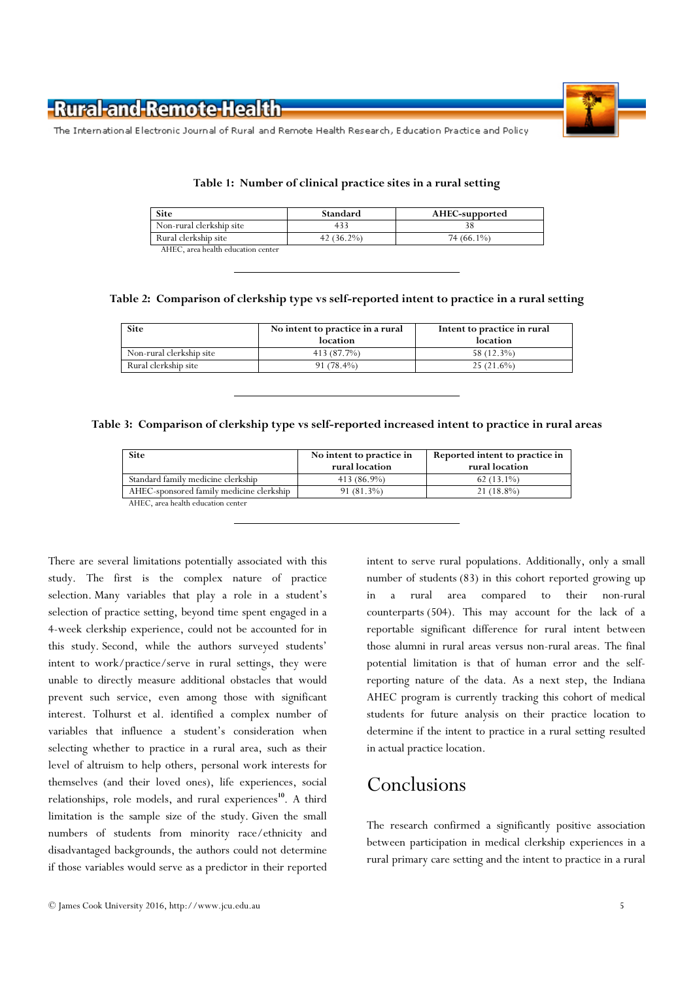

The International Electronic Journal of Rural and Remote Health Research, Education Practice and Policy

| <b>Site</b>                        | Standard      | AHEC-supported |
|------------------------------------|---------------|----------------|
| Non-rural clerkship site           |               |                |
| Rural clerkship site               | 42 $(36.2\%)$ | 74 (66.1%)     |
| AHEC, area health education center |               |                |

#### Table 1: Number of clinical practice sites in a rural setting

Table 2: Comparison of clerkship type vs self-reported intent to practice in a rural setting

| <b>Site</b>              | No intent to practice in a rural<br>location | Intent to practice in rural<br>location |
|--------------------------|----------------------------------------------|-----------------------------------------|
| Non-rural clerkship site | 413 (87.7%)                                  | 58 (12.3%)                              |
| Rural clerkship site     | $91(78.4\%)$                                 | $25(21.6\%)$                            |

#### Table 3: Comparison of clerkship type vs self-reported increased intent to practice in rural areas

| <b>Site</b>                              | No intent to practice in<br>rural location | Reported intent to practice in<br>rural location |
|------------------------------------------|--------------------------------------------|--------------------------------------------------|
| Standard family medicine clerkship       | 413 (86.9%)                                | $62(13.1\%)$                                     |
| AHEC-sponsored family medicine clerkship | 91 (81.3%)                                 | $21(18.8\%)$                                     |
| AHEC, area health education center       |                                            |                                                  |

There are several limitations potentially associated with this study. The first is the complex nature of practice selection. Many variables that play a role in a student's selection of practice setting, beyond time spent engaged in a 4-week clerkship experience, could not be accounted for in this study. Second, while the authors surveyed students' intent to work/practice/serve in rural settings, they were unable to directly measure additional obstacles that would prevent such service, even among those with significant interest. Tolhurst et al. identified a complex number of variables that influence a student's consideration when selecting whether to practice in a rural area, such as their level of altruism to help others, personal work interests for themselves (and their loved ones), life experiences, social relationships, role models, and rural experiences<sup>10</sup>. A third limitation is the sample size of the study. Given the small numbers of students from minority race/ethnicity and disadvantaged backgrounds, the authors could not determine if those variables would serve as a predictor in their reported

intent to serve rural populations. Additionally, only a small number of students (83) in this cohort reported growing up in a rural area compared to their non-rural counterparts (504). This may account for the lack of a reportable significant difference for rural intent between those alumni in rural areas versus non-rural areas. The final potential limitation is that of human error and the selfreporting nature of the data. As a next step, the Indiana AHEC program is currently tracking this cohort of medical students for future analysis on their practice location to determine if the intent to practice in a rural setting resulted in actual practice location.

# Conclusions

The research confirmed a significantly positive association between participation in medical clerkship experiences in a rural primary care setting and the intent to practice in a rural